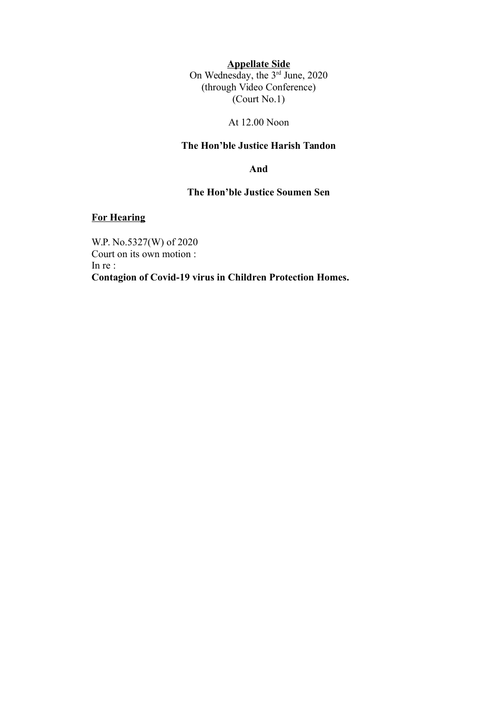**Appellate Side**

On Wednesday, the 3rd June, 2020 (through Video Conference) (Court No.1)

At 12.00 Noon

#### **The Hon'ble Justice Harish Tandon**

**And**

#### **The Hon'ble Justice Soumen Sen**

#### **For Hearing**

W.P. No.5327(W) of 2020 Court on its own motion : In re : **Contagion of Covid-19 virus in Children Protection Homes.**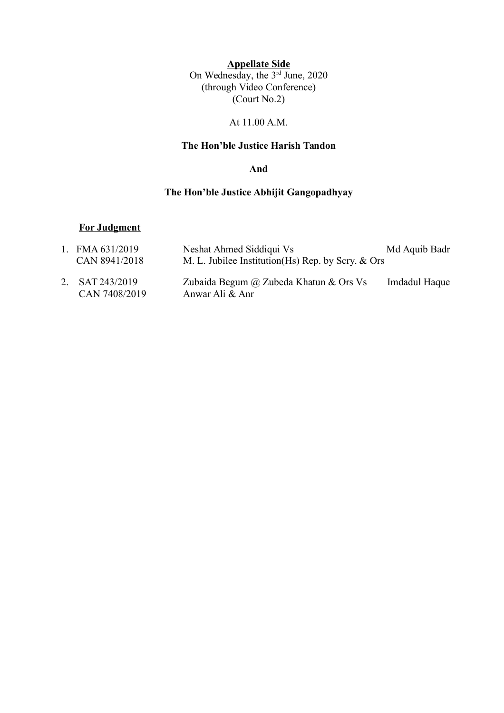**Appellate Side** On Wednesday, the 3rd June, 2020 (through Video Conference)  $\left($ Court No.2)

### At 11.00 A.M.

### **The Hon'ble Justice Harish Tandon**

**And**

# **The Hon'ble Justice Abhijit Gangopadhyay**

#### **For Judgment**

| 1. FMA $631/2019$                | Neshat Ahmed Siddiqui Vs                                  | Md Aquib Badr |
|----------------------------------|-----------------------------------------------------------|---------------|
| CAN 8941/2018                    | M. L. Jubilee Institution (Hs) Rep. by Scry. & Ors        |               |
| 2. SAT 243/2019<br>CAN 7408/2019 | Zubaida Begum @ Zubeda Khatun & Ors Vs<br>Anwar Ali & Anr | Imdadul Haque |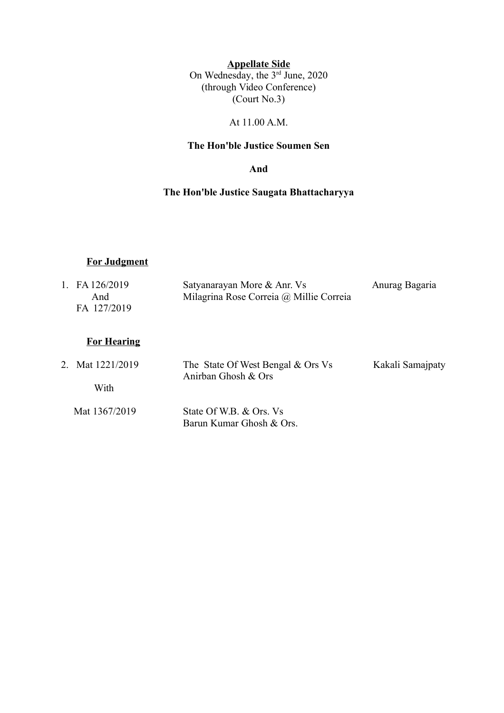**Appellate Side** On Wednesday, the 3rd June, 2020 (through Video Conference)  $\left($ Court No.3)

### At 11.00 A.M.

# **The Hon'ble Justice Soumen Sen**

**And**

# **The Hon'ble Justice Saugata Bhattacharyya**

## **For Judgment**

| 1 | FA 126/2019<br>And<br>FA 127/2019 | Satyanarayan More & Anr. Vs<br>Milagrina Rose Correia @ Millie Correia | Anurag Bagaria   |
|---|-----------------------------------|------------------------------------------------------------------------|------------------|
|   | <b>For Hearing</b>                |                                                                        |                  |
|   | 2. Mat 1221/2019                  | The State Of West Bengal & Ors Vs<br>Anirban Ghosh & Ors               | Kakali Samajpaty |
|   | With                              |                                                                        |                  |
|   | Mat 1367/2019                     | State Of W.B. & Ors. Vs<br>Barun Kumar Ghosh & Ors                     |                  |